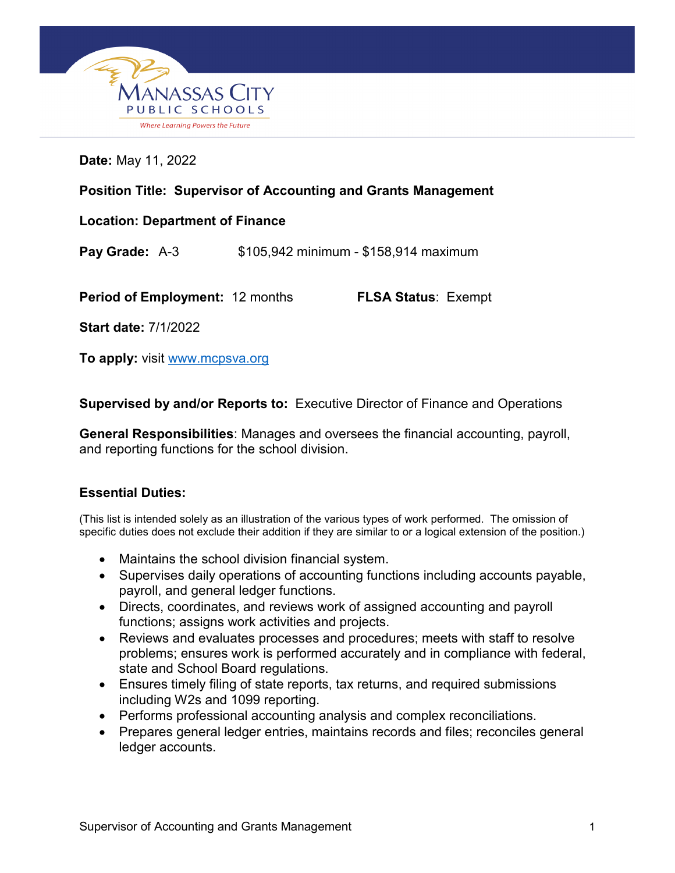

**Date:** May 11, 2022

| <b>Position Title: Supervisor of Accounting and Grants Management</b> |  |                                       |
|-----------------------------------------------------------------------|--|---------------------------------------|
| <b>Location: Department of Finance</b>                                |  |                                       |
| Pay Grade: A-3                                                        |  | \$105,942 minimum - \$158,914 maximum |
| <b>Period of Employment: 12 months</b>                                |  | <b>FLSA Status: Exempt</b>            |
| <b>Start date: 7/1/2022</b>                                           |  |                                       |

**To apply:** visit [www.mcpsva.org](http://www.mcpsva.org/)

**Supervised by and/or Reports to:** Executive Director of Finance and Operations

**General Responsibilities**: Manages and oversees the financial accounting, payroll, and reporting functions for the school division.

## **Essential Duties:**

(This list is intended solely as an illustration of the various types of work performed. The omission of specific duties does not exclude their addition if they are similar to or a logical extension of the position.)

- Maintains the school division financial system.
- Supervises daily operations of accounting functions including accounts payable, payroll, and general ledger functions.
- Directs, coordinates, and reviews work of assigned accounting and payroll functions; assigns work activities and projects.
- Reviews and evaluates processes and procedures; meets with staff to resolve problems; ensures work is performed accurately and in compliance with federal, state and School Board regulations.
- Ensures timely filing of state reports, tax returns, and required submissions including W2s and 1099 reporting.
- Performs professional accounting analysis and complex reconciliations.
- Prepares general ledger entries, maintains records and files; reconciles general ledger accounts.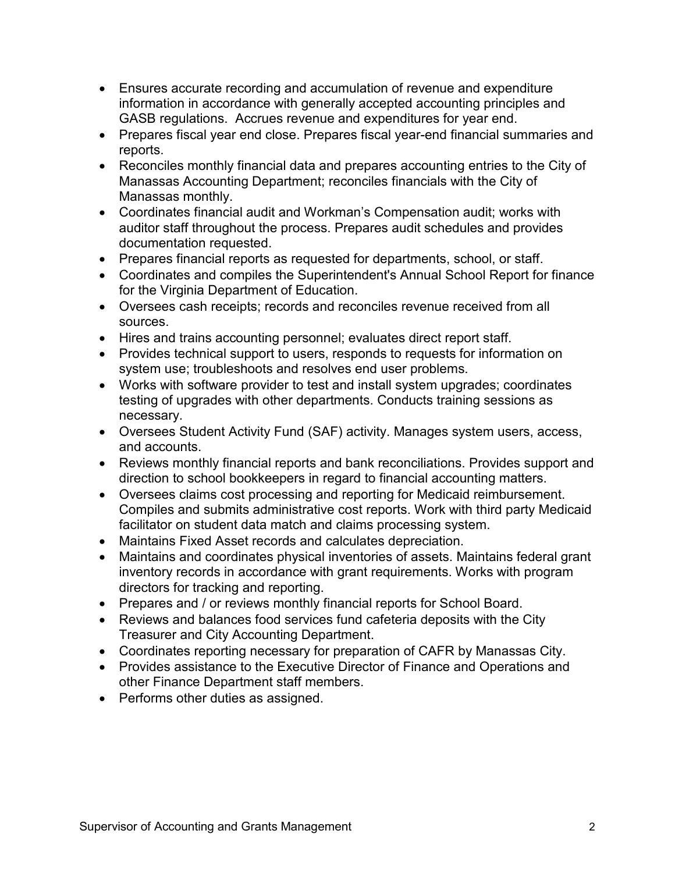- Ensures accurate recording and accumulation of revenue and expenditure information in accordance with generally accepted accounting principles and GASB regulations. Accrues revenue and expenditures for year end.
- Prepares fiscal year end close. Prepares fiscal year-end financial summaries and reports.
- Reconciles monthly financial data and prepares accounting entries to the City of Manassas Accounting Department; reconciles financials with the City of Manassas monthly.
- Coordinates financial audit and Workman's Compensation audit; works with auditor staff throughout the process. Prepares audit schedules and provides documentation requested.
- Prepares financial reports as requested for departments, school, or staff.
- Coordinates and compiles the Superintendent's Annual School Report for finance for the Virginia Department of Education.
- Oversees cash receipts; records and reconciles revenue received from all sources.
- Hires and trains accounting personnel; evaluates direct report staff.
- Provides technical support to users, responds to requests for information on system use; troubleshoots and resolves end user problems.
- Works with software provider to test and install system upgrades; coordinates testing of upgrades with other departments. Conducts training sessions as necessary.
- Oversees Student Activity Fund (SAF) activity. Manages system users, access, and accounts.
- Reviews monthly financial reports and bank reconciliations. Provides support and direction to school bookkeepers in regard to financial accounting matters.
- Oversees claims cost processing and reporting for Medicaid reimbursement. Compiles and submits administrative cost reports. Work with third party Medicaid facilitator on student data match and claims processing system.
- Maintains Fixed Asset records and calculates depreciation.
- Maintains and coordinates physical inventories of assets. Maintains federal grant inventory records in accordance with grant requirements. Works with program directors for tracking and reporting.
- Prepares and / or reviews monthly financial reports for School Board.
- Reviews and balances food services fund cafeteria deposits with the City Treasurer and City Accounting Department.
- Coordinates reporting necessary for preparation of CAFR by Manassas City.
- Provides assistance to the Executive Director of Finance and Operations and other Finance Department staff members.
- Performs other duties as assigned.